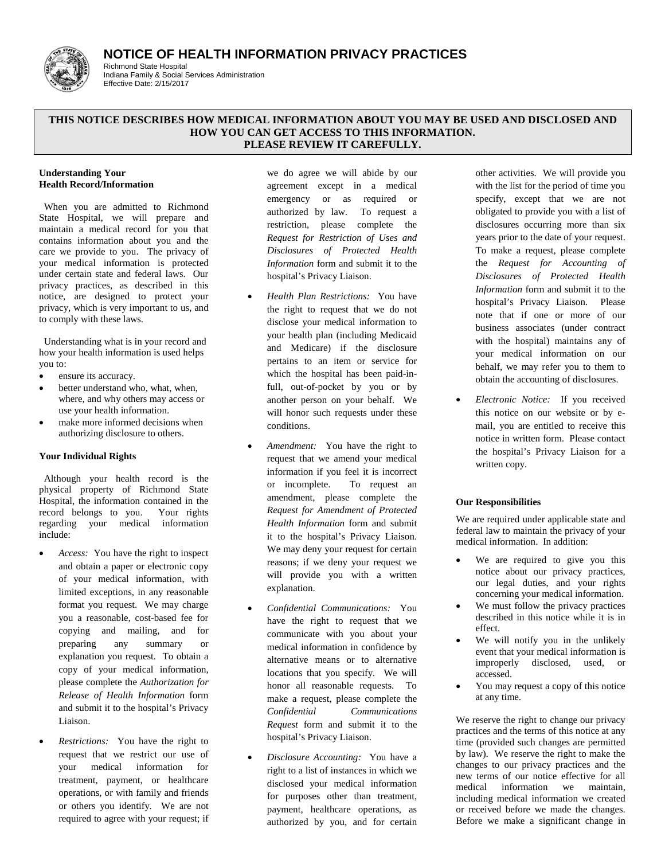# **NOTICE OF HEALTH INFORMATION PRIVACY PRACTICES**



#### Richmond State Hospital Indiana Family & Social Services Administration Effective Date: 2/15/2017

# **THIS NOTICE DESCRIBES HOW MEDICAL INFORMATION ABOUT YOU MAY BE USED AND DISCLOSED AND HOW YOU CAN GET ACCESS TO THIS INFORMATION. PLEASE REVIEW IT CAREFULLY.**

#### **Understanding Your Health Record/Information**

 When you are admitted to Richmond State Hospital, we will prepare and maintain a medical record for you that contains information about you and the care we provide to you. The privacy of your medical information is protected under certain state and federal laws. Our privacy practices, as described in this notice, are designed to protect your privacy, which is very important to us, and to comply with these laws.

 Understanding what is in your record and how your health information is used helps you to:

- ensure its accuracy.
- better understand who, what, when, where, and why others may access or use your health information.
- make more informed decisions when authorizing disclosure to others.

# **Your Individual Rights**

 Although your health record is the physical property of Richmond State Hospital, the information contained in the record belongs to you. Your rights regarding your medical information include:

- *Access:* You have the right to inspect and obtain a paper or electronic copy of your medical information, with limited exceptions, in any reasonable format you request. We may charge you a reasonable, cost-based fee for copying and mailing, and for preparing any summary or explanation you request. To obtain a copy of your medical information, please complete the *Authorization for Release of Health Information* form and submit it to the hospital's Privacy Liaison.
- *Restrictions:* You have the right to request that we restrict our use of your medical information for treatment, payment, or healthcare operations, or with family and friends or others you identify. We are not required to agree with your request; if

we do agree we will abide by our agreement except in a medical emergency or as required or authorized by law. To request a restriction, please complete the *Request for Restriction of Uses and Disclosures of Protected Health Information* form and submit it to the hospital's Privacy Liaison.

- *Health Plan Restrictions:* You have the right to request that we do not disclose your medical information to your health plan (including Medicaid and Medicare) if the disclosure pertains to an item or service for which the hospital has been paid-infull, out-of-pocket by you or by another person on your behalf. We will honor such requests under these conditions.
- *Amendment:* You have the right to request that we amend your medical information if you feel it is incorrect or incomplete. To request an amendment, please complete the *Request for Amendment of Protected Health Information* form and submit it to the hospital's Privacy Liaison. We may deny your request for certain reasons; if we deny your request we will provide you with a written explanation.
- *Confidential Communications:* You have the right to request that we communicate with you about your medical information in confidence by alternative means or to alternative locations that you specify. We will honor all reasonable requests. To make a request, please complete the *Confidential Communications Request* form and submit it to the hospital's Privacy Liaison.
- *Disclosure Accounting:* You have a right to a list of instances in which we disclosed your medical information for purposes other than treatment, payment, healthcare operations, as authorized by you, and for certain

other activities. We will provide you with the list for the period of time you specify, except that we are not obligated to provide you with a list of disclosures occurring more than six years prior to the date of your request. To make a request, please complete the *Request for Accounting of Disclosures of Protected Health Information* form and submit it to the hospital's Privacy Liaison. Please note that if one or more of our business associates (under contract with the hospital) maintains any of your medical information on our behalf, we may refer you to them to obtain the accounting of disclosures.

• *Electronic Notice:* If you received this notice on our website or by email, you are entitled to receive this notice in written form. Please contact the hospital's Privacy Liaison for a written copy.

# **Our Responsibilities**

We are required under applicable state and federal law to maintain the privacy of your medical information. In addition:

- We are required to give you this notice about our privacy practices, our legal duties, and your rights concerning your medical information.
- We must follow the privacy practices described in this notice while it is in effect.
- We will notify you in the unlikely event that your medical information is improperly disclosed, used, or accessed.
- You may request a copy of this notice at any time.

We reserve the right to change our privacy practices and the terms of this notice at any time (provided such changes are permitted by law). We reserve the right to make the changes to our privacy practices and the new terms of our notice effective for all medical information we maintain, including medical information we created or received before we made the changes. Before we make a significant change in